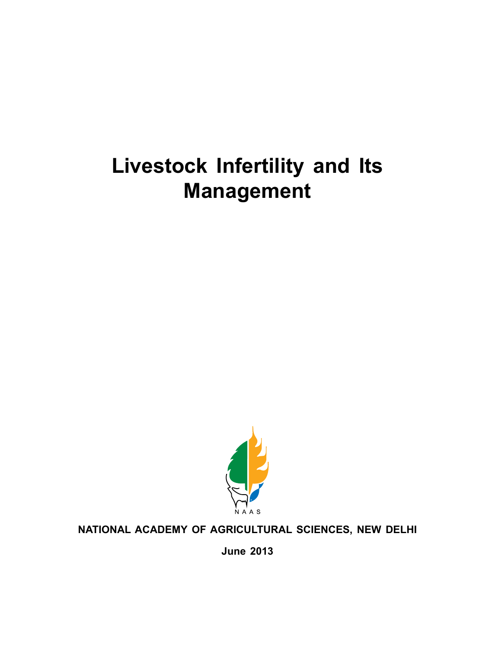# **Livestock Infertility and Its Management**



#### **NATIONAL ACADEMY OF AGRICULTURAL SCIENCES, NEW DELHI**

**June 2013**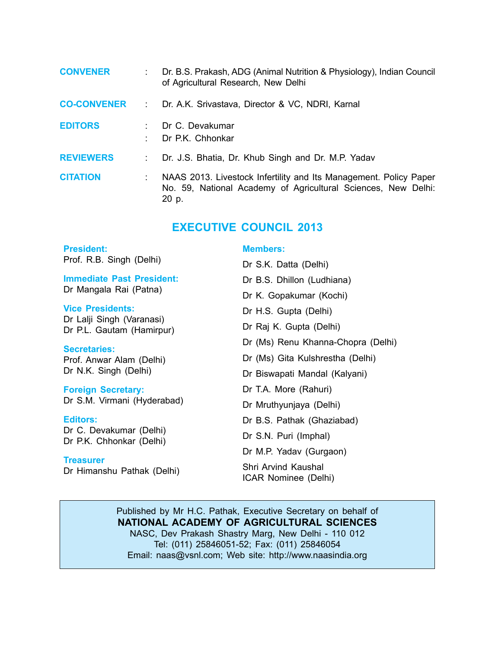| <b>CONVENER</b>    |                | Dr. B.S. Prakash, ADG (Animal Nutrition & Physiology), Indian Council<br>of Agricultural Research, New Delhi                                |
|--------------------|----------------|---------------------------------------------------------------------------------------------------------------------------------------------|
| <b>CO-CONVENER</b> | $\mathbb{R}^n$ | Dr. A.K. Srivastava, Director & VC, NDRI, Karnal                                                                                            |
| <b>EDITORS</b>     |                | Dr C. Devakumar<br>Dr P.K. Chhonkar                                                                                                         |
| <b>REVIEWERS</b>   |                | Dr. J.S. Bhatia, Dr. Khub Singh and Dr. M.P. Yadav                                                                                          |
| <b>CITATION</b>    |                | NAAS 2013. Livestock Infertility and Its Management. Policy Paper<br>No. 59, National Academy of Agricultural Sciences, New Delhi:<br>20 p. |

#### **EXECUTIVE COUNCIL 2013**

| <b>President:</b>                                      | <b>Members:</b>                             |
|--------------------------------------------------------|---------------------------------------------|
| Prof. R.B. Singh (Delhi)                               | Dr S.K. Datta (Delhi)                       |
| <b>Immediate Past President:</b>                       | Dr B.S. Dhillon (Ludhiana)                  |
| Dr Mangala Rai (Patna)                                 | Dr K. Gopakumar (Kochi)                     |
| <b>Vice Presidents:</b>                                | Dr H.S. Gupta (Delhi)                       |
| Dr Lalji Singh (Varanasi)<br>Dr P.L. Gautam (Hamirpur) | Dr Raj K. Gupta (Delhi)                     |
| <b>Secretaries:</b>                                    | Dr (Ms) Renu Khanna-Chopra (Delhi)          |
| Prof. Anwar Alam (Delhi)                               | Dr (Ms) Gita Kulshrestha (Delhi)            |
| Dr N.K. Singh (Delhi)                                  | Dr Biswapati Mandal (Kalyani)               |
| <b>Foreign Secretary:</b>                              | Dr T.A. More (Rahuri)                       |
| Dr S.M. Virmani (Hyderabad)                            | Dr Mruthyunjaya (Delhi)                     |
| Editors:                                               | Dr B.S. Pathak (Ghaziabad)                  |
| Dr C. Devakumar (Delhi)<br>Dr P.K. Chhonkar (Delhi)    | Dr S.N. Puri (Imphal)                       |
|                                                        | Dr M.P. Yadav (Gurgaon)                     |
| <b>Treasurer</b><br>Dr Himanshu Pathak (Delhi)         | Shri Arvind Kaushal<br>ICAR Nominee (Delhi) |
|                                                        |                                             |

Published by Mr H.C. Pathak, Executive Secretary on behalf of **NATIONAL ACADEMY OF AGRICULTURAL SCIENCES** NASC, Dev Prakash Shastry Marg, New Delhi - 110 012 Tel: (011) 25846051-52; Fax: (011) 25846054 Email: naas@vsnl.com; Web site: http://www.naasindia.org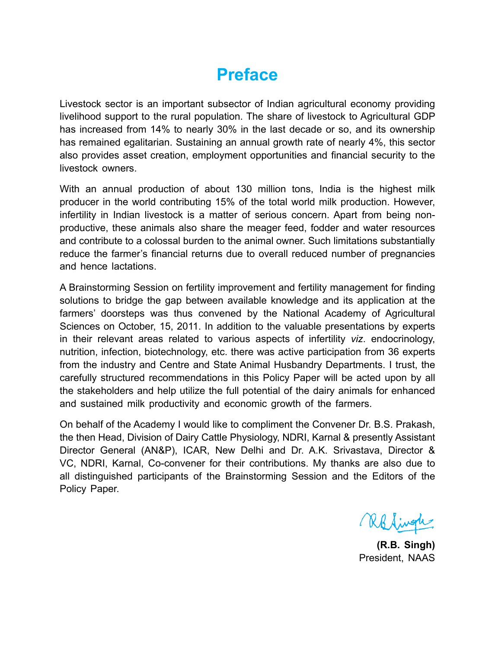### **Preface**

Livestock sector is an important subsector of Indian agricultural economy providing livelihood support to the rural population. The share of livestock to Agricultural GDP has increased from 14% to nearly 30% in the last decade or so, and its ownership has remained egalitarian. Sustaining an annual growth rate of nearly 4%, this sector also provides asset creation, employment opportunities and financial security to the livestock owners.

With an annual production of about 130 million tons, India is the highest milk producer in the world contributing 15% of the total world milk production. However, infertility in Indian livestock is a matter of serious concern. Apart from being nonproductive, these animals also share the meager feed, fodder and water resources and contribute to a colossal burden to the animal owner. Such limitations substantially reduce the farmer's financial returns due to overall reduced number of pregnancies and hence lactations.

A Brainstorming Session on fertility improvement and fertility management for finding solutions to bridge the gap between available knowledge and its application at the farmers' doorsteps was thus convened by the National Academy of Agricultural Sciences on October, 15, 2011. In addition to the valuable presentations by experts in their relevant areas related to various aspects of infertility *viz*. endocrinology, nutrition, infection, biotechnology, etc. there was active participation from 36 experts from the industry and Centre and State Animal Husbandry Departments. I trust, the carefully structured recommendations in this Policy Paper will be acted upon by all the stakeholders and help utilize the full potential of the dairy animals for enhanced and sustained milk productivity and economic growth of the farmers.

On behalf of the Academy I would like to compliment the Convener Dr. B.S. Prakash, the then Head, Division of Dairy Cattle Physiology, NDRI, Karnal & presently Assistant Director General (AN&P), ICAR, New Delhi and Dr. A.K. Srivastava, Director & VC, NDRI, Karnal, Co-convener for their contributions. My thanks are also due to all distinguished participants of the Brainstorming Session and the Editors of the Policy Paper.

Rolingh

**(R.B. Singh)** President, NAAS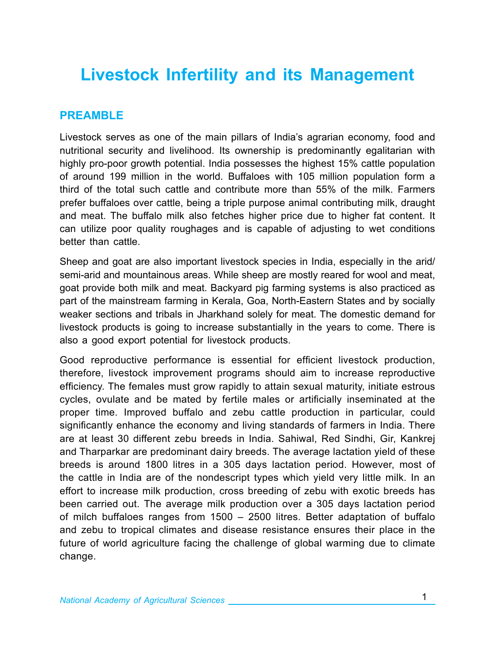## **Livestock Infertility and its Management**

#### **Preamble**

Livestock serves as one of the main pillars of India's agrarian economy, food and nutritional security and livelihood. Its ownership is predominantly egalitarian with highly pro-poor growth potential. India possesses the highest 15% cattle population of around 199 million in the world. Buffaloes with 105 million population form a third of the total such cattle and contribute more than 55% of the milk. Farmers prefer buffaloes over cattle, being a triple purpose animal contributing milk, draught and meat. The buffalo milk also fetches higher price due to higher fat content. It can utilize poor quality roughages and is capable of adjusting to wet conditions better than cattle.

Sheep and goat are also important livestock species in India, especially in the arid/ semi-arid and mountainous areas. While sheep are mostly reared for wool and meat, goat provide both milk and meat. Backyard pig farming systems is also practiced as part of the mainstream farming in Kerala, Goa, North-Eastern States and by socially weaker sections and tribals in Jharkhand solely for meat. The domestic demand for livestock products is going to increase substantially in the years to come. There is also a good export potential for livestock products.

Good reproductive performance is essential for efficient livestock production, therefore, livestock improvement programs should aim to increase reproductive efficiency. The females must grow rapidly to attain sexual maturity, initiate estrous cycles, ovulate and be mated by fertile males or artificially inseminated at the proper time. Improved buffalo and zebu cattle production in particular, could significantly enhance the economy and living standards of farmers in India. There are at least 30 different zebu breeds in India. Sahiwal, Red Sindhi, Gir, Kankrej and Tharparkar are predominant dairy breeds. The average lactation yield of these breeds is around 1800 litres in a 305 days lactation period. However, most of the cattle in India are of the nondescript types which yield very little milk. In an effort to increase milk production, cross breeding of zebu with exotic breeds has been carried out. The average milk production over a 305 days lactation period of milch buffaloes ranges from 1500 – 2500 litres. Better adaptation of buffalo and zebu to tropical climates and disease resistance ensures their place in the future of world agriculture facing the challenge of global warming due to climate change.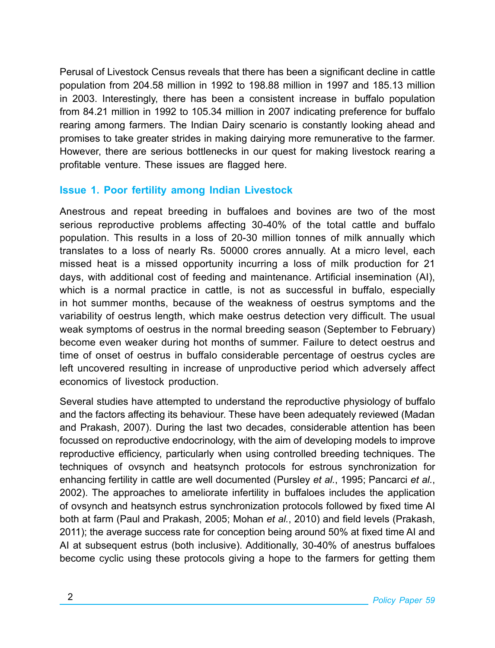Perusal of Livestock Census reveals that there has been a significant decline in cattle population from 204.58 million in 1992 to 198.88 million in 1997 and 185.13 million in 2003. Interestingly, there has been a consistent increase in buffalo population from 84.21 million in 1992 to 105.34 million in 2007 indicating preference for buffalo rearing among farmers. The Indian Dairy scenario is constantly looking ahead and promises to take greater strides in making dairying more remunerative to the farmer. However, there are serious bottlenecks in our quest for making livestock rearing a profitable venture. These issues are flagged here.

#### **Issue 1. Poor fertility among Indian Livestock**

Anestrous and repeat breeding in buffaloes and bovines are two of the most serious reproductive problems affecting 30-40% of the total cattle and buffalo population. This results in a loss of 20-30 million tonnes of milk annually which translates to a loss of nearly Rs. 50000 crores annually. At a micro level, each missed heat is a missed opportunity incurring a loss of milk production for 21 days, with additional cost of feeding and maintenance. Artificial insemination (AI), which is a normal practice in cattle, is not as successful in buffalo, especially in hot summer months, because of the weakness of oestrus symptoms and the variability of oestrus length, which make oestrus detection very difficult. The usual weak symptoms of oestrus in the normal breeding season (September to February) become even weaker during hot months of summer. Failure to detect oestrus and time of onset of oestrus in buffalo considerable percentage of oestrus cycles are left uncovered resulting in increase of unproductive period which adversely affect economics of livestock production.

Several studies have attempted to understand the reproductive physiology of buffalo and the factors affecting its behaviour. These have been adequately reviewed (Madan and Prakash, 2007). During the last two decades, considerable attention has been focussed on reproductive endocrinology, with the aim of developing models to improve reproductive efficiency, particularly when using controlled breeding techniques. The techniques of ovsynch and heatsynch protocols for estrous synchronization for enhancing fertility in cattle are well documented (Pursley *et al.*, 1995; Pancarci *et al.*, 2002). The approaches to ameliorate infertility in buffaloes includes the application of ovsynch and heatsynch estrus synchronization protocols followed by fixed time AI both at farm (Paul and Prakash, 2005; Mohan *et al.*, 2010) and field levels (Prakash, 2011); the average success rate for conception being around 50% at fixed time AI and AI at subsequent estrus (both inclusive). Additionally, 30-40% of anestrus buffaloes become cyclic using these protocols giving a hope to the farmers for getting them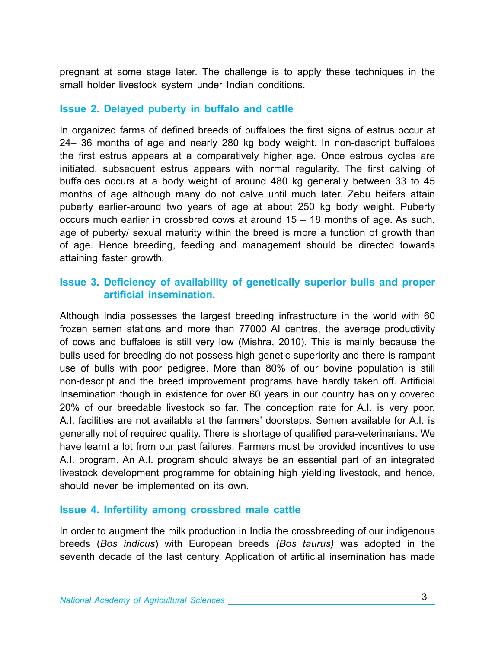pregnant at some stage later. The challenge is to apply these techniques in the small holder livestock system under Indian conditions.

#### **Issue 2. Delayed puberty in buffalo and cattle**

In organized farms of defined breeds of buffaloes the first signs of estrus occur at 24– 36 months of age and nearly 280 kg body weight. In non-descript buffaloes the first estrus appears at a comparatively higher age. Once estrous cycles are initiated, subsequent estrus appears with normal regularity. The first calving of buffaloes occurs at a body weight of around 480 kg generally between 33 to 45 months of age although many do not calve until much later. Zebu heifers attain puberty earlier-around two years of age at about 250 kg body weight. Puberty occurs much earlier in crossbred cows at around 15 – 18 months of age. As such, age of puberty/ sexual maturity within the breed is more a function of growth than of age. Hence breeding, feeding and management should be directed towards attaining faster growth.

#### **Issue 3. Deficiency of availability of genetically superior bulls and proper artificial insemination.**

Although India possesses the largest breeding infrastructure in the world with 60 frozen semen stations and more than 77000 AI centres, the average productivity of cows and buffaloes is still very low (Mishra, 2010). This is mainly because the bulls used for breeding do not possess high genetic superiority and there is rampant use of bulls with poor pedigree. More than 80% of our bovine population is still non-descript and the breed improvement programs have hardly taken off. Artificial Insemination though in existence for over 60 years in our country has only covered 20% of our breedable livestock so far. The conception rate for A.I. is very poor. A.I. facilities are not available at the farmers' doorsteps. Semen available for A.I. is generally not of required quality. There is shortage of qualified para-veterinarians. We have learnt a lot from our past failures. Farmers must be provided incentives to use A.I. program. An A.I. program should always be an essential part of an integrated livestock development programme for obtaining high yielding livestock, and hence, should never be implemented on its own.

#### **Issue 4. Infertility among crossbred male cattle**

In order to augment the milk production in India the crossbreeding of our indigenous breeds (*Bos indicus*) with European breeds *(Bos taurus)* was adopted in the seventh decade of the last century. Application of artificial insemination has made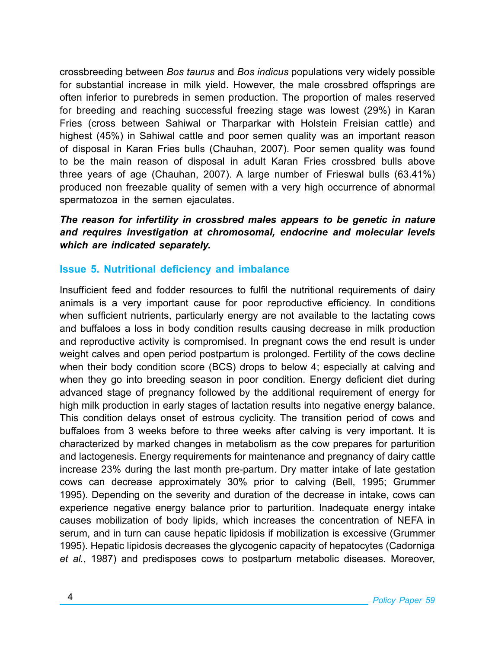crossbreeding between *Bos taurus* and *Bos indicus* populations very widely possible for substantial increase in milk yield. However, the male crossbred offsprings are often inferior to purebreds in semen production. The proportion of males reserved for breeding and reaching successful freezing stage was lowest (29%) in Karan Fries (cross between Sahiwal or Tharparkar with Holstein Freisian cattle) and highest (45%) in Sahiwal cattle and poor semen quality was an important reason of disposal in Karan Fries bulls (Chauhan, 2007). Poor semen quality was found to be the main reason of disposal in adult Karan Fries crossbred bulls above three years of age (Chauhan, 2007). A large number of Frieswal bulls (63.41%) produced non freezable quality of semen with a very high occurrence of abnormal spermatozoa in the semen ejaculates.

#### The reason for infertility in crossbred males appears to be genetic in nature *and requires investigation at chromosomal, endocrine and molecular levels which are indicated separately.*

#### **Issue 5. Nutritional deficiency and imbalance**

Insufficient feed and fodder resources to fulfil the nutritional requirements of dairy animals is a very important cause for poor reproductive efficiency. In conditions when sufficient nutrients, particularly energy are not available to the lactating cows and buffaloes a loss in body condition results causing decrease in milk production and reproductive activity is compromised. In pregnant cows the end result is under weight calves and open period postpartum is prolonged. Fertility of the cows decline when their body condition score (BCS) drops to below 4; especially at calving and when they go into breeding season in poor condition. Energy deficient diet during advanced stage of pregnancy followed by the additional requirement of energy for high milk production in early stages of lactation results into negative energy balance. This condition delays onset of estrous cyclicity. The transition period of cows and buffaloes from 3 weeks before to three weeks after calving is very important. It is characterized by marked changes in metabolism as the cow prepares for parturition and lactogenesis. Energy requirements for maintenance and pregnancy of dairy cattle increase 23% during the last month pre-partum. Dry matter intake of late gestation cows can decrease approximately 30% prior to calving (Bell, 1995; Grummer 1995). Depending on the severity and duration of the decrease in intake, cows can experience negative energy balance prior to parturition. Inadequate energy intake causes mobilization of body lipids, which increases the concentration of NEFA in serum, and in turn can cause hepatic lipidosis if mobilization is excessive (Grummer 1995). Hepatic lipidosis decreases the glycogenic capacity of hepatocytes (Cadorniga *et al.*, 1987) and predisposes cows to postpartum metabolic diseases. Moreover,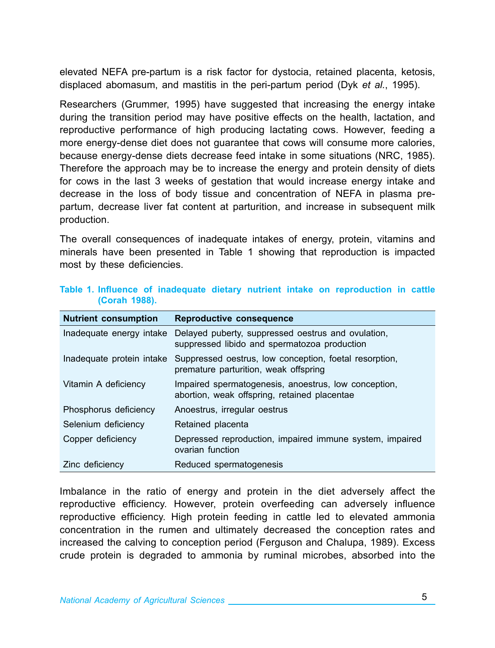elevated NEFA pre-partum is a risk factor for dystocia, retained placenta, ketosis, displaced abomasum, and mastitis in the peri-partum period (Dyk *et al.*, 1995).

Researchers (Grummer, 1995) have suggested that increasing the energy intake during the transition period may have positive effects on the health, lactation, and reproductive performance of high producing lactating cows. However, feeding a more energy-dense diet does not guarantee that cows will consume more calories, because energy-dense diets decrease feed intake in some situations (NRC, 1985). Therefore the approach may be to increase the energy and protein density of diets for cows in the last 3 weeks of gestation that would increase energy intake and decrease in the loss of body tissue and concentration of NEFA in plasma prepartum, decrease liver fat content at parturition, and increase in subsequent milk production.

The overall consequences of inadequate intakes of energy, protein, vitamins and minerals have been presented in Table 1 showing that reproduction is impacted most by these deficiencies.

| <b>Nutrient consumption</b> | Reproductive consequence                                                                             |
|-----------------------------|------------------------------------------------------------------------------------------------------|
| Inadequate energy intake    | Delayed puberty, suppressed oestrus and ovulation,<br>suppressed libido and spermatozoa production   |
| Inadequate protein intake   | Suppressed oestrus, low conception, foetal resorption,<br>premature parturition, weak offspring      |
| Vitamin A deficiency        | Impaired spermatogenesis, anoestrus, low conception,<br>abortion, weak offspring, retained placentae |
| Phosphorus deficiency       | Anoestrus, irregular oestrus                                                                         |
| Selenium deficiency         | Retained placenta                                                                                    |
| Copper deficiency           | Depressed reproduction, impaired immune system, impaired<br>ovarian function                         |
| Zinc deficiency             | Reduced spermatogenesis                                                                              |

#### **Table 1. Influence of inadequate dietary nutrient intake on reproduction in cattle (Corah 1988).**

Imbalance in the ratio of energy and protein in the diet adversely affect the reproductive efficiency. However, protein overfeeding can adversely influence reproductive efficiency. High protein feeding in cattle led to elevated ammonia concentration in the rumen and ultimately decreased the conception rates and increased the calving to conception period (Ferguson and Chalupa, 1989). Excess crude protein is degraded to ammonia by ruminal microbes, absorbed into the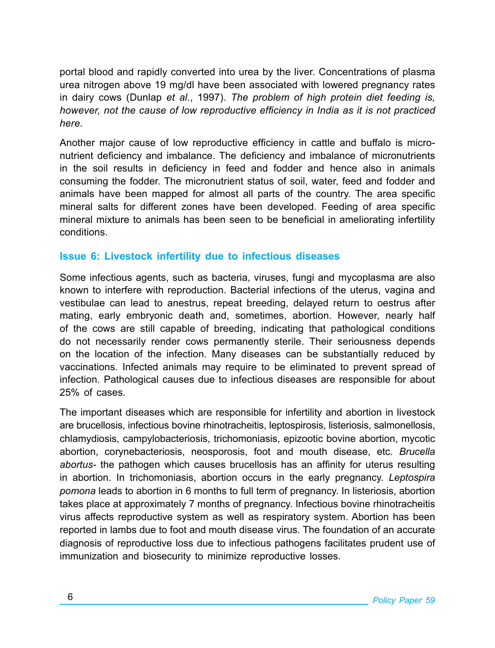portal blood and rapidly converted into urea by the liver. Concentrations of plasma urea nitrogen above 19 mg/dl have been associated with lowered pregnancy rates in dairy cows (Dunlap *et al.*, 1997). *The problem of high protein diet feeding is, however, not the cause of low reproductive efficiency in India as it is not practiced here.*

Another major cause of low reproductive efficiency in cattle and buffalo is micronutrient deficiency and imbalance. The deficiency and imbalance of micronutrients in the soil results in deficiency in feed and fodder and hence also in animals consuming the fodder. The micronutrient status of soil, water, feed and fodder and animals have been mapped for almost all parts of the country. The area specific mineral salts for different zones have been developed. Feeding of area specific mineral mixture to animals has been seen to be beneficial in ameliorating infertility conditions.

#### **Issue 6: Livestock infertility due to infectious diseases**

Some infectious agents, such as bacteria, viruses, fungi and mycoplasma are also known to interfere with reproduction. Bacterial infections of the uterus, vagina and vestibulae can lead to anestrus, repeat breeding, delayed return to oestrus after mating, early embryonic death and, sometimes, abortion. However, nearly half of the cows are still capable of breeding, indicating that pathological conditions do not necessarily render cows permanently sterile. Their seriousness depends on the location of the infection. Many diseases can be substantially reduced by vaccinations. Infected animals may require to be eliminated to prevent spread of infection. Pathological causes due to infectious diseases are responsible for about 25% of cases.

The important diseases which are responsible for infertility and abortion in livestock are brucellosis, infectious bovine rhinotracheitis, leptospirosis, listeriosis, salmonellosis, chlamydiosis, campylobacteriosis, trichomoniasis, epizootic bovine abortion, mycotic abortion, corynebacteriosis, neosporosis, foot and mouth disease, etc. *Brucella abortus-* the pathogen which causes brucellosis has an affinity for uterus resulting in abortion. In trichomoniasis, abortion occurs in the early pregnancy. *Leptospira pomona* leads to abortion in 6 months to full term of pregnancy. In listeriosis, abortion takes place at approximately 7 months of pregnancy. Infectious bovine rhinotracheitis virus affects reproductive system as well as respiratory system. Abortion has been reported in lambs due to foot and mouth disease virus. The foundation of an accurate diagnosis of reproductive loss due to infectious pathogens facilitates prudent use of immunization and biosecurity to minimize reproductive losses.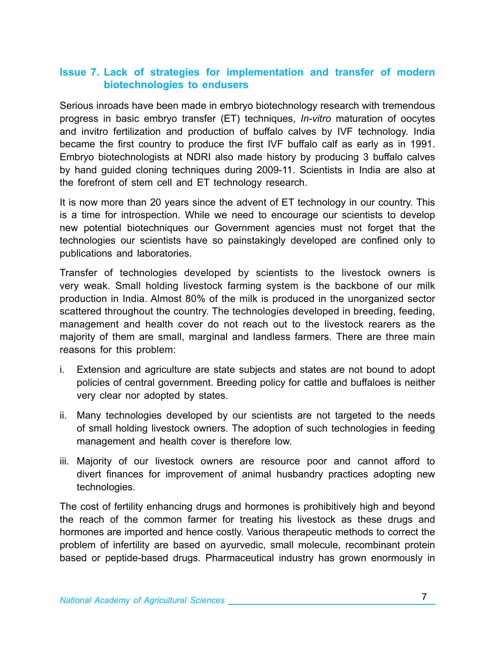#### **Issue 7. Lack of strategies for implementation and transfer of modern biotechnologies to endusers**

Serious inroads have been made in embryo biotechnology research with tremendous progress in basic embryo transfer (ET) techniques, *In-vitro* maturation of oocytes and invitro fertilization and production of buffalo calves by IVF technology. India became the first country to produce the first IVF buffalo calf as early as in 1991. Embryo biotechnologists at NDRI also made history by producing 3 buffalo calves by hand guided cloning techniques during 2009-11. Scientists in India are also at the forefront of stem cell and ET technology research.

It is now more than 20 years since the advent of ET technology in our country. This is a time for introspection. While we need to encourage our scientists to develop new potential biotechniques our Government agencies must not forget that the technologies our scientists have so painstakingly developed are confined only to publications and laboratories.

Transfer of technologies developed by scientists to the livestock owners is very weak. Small holding livestock farming system is the backbone of our milk production in India. Almost 80% of the milk is produced in the unorganized sector scattered throughout the country. The technologies developed in breeding, feeding, management and health cover do not reach out to the livestock rearers as the majority of them are small, marginal and landless farmers. There are three main reasons for this problem:

- i. Extension and agriculture are state subjects and states are not bound to adopt policies of central government. Breeding policy for cattle and buffaloes is neither very clear nor adopted by states.
- ii. Many technologies developed by our scientists are not targeted to the needs of small holding livestock owners. The adoption of such technologies in feeding management and health cover is therefore low.
- iii. Majority of our livestock owners are resource poor and cannot afford to divert finances for improvement of animal husbandry practices adopting new technologies.

The cost of fertility enhancing drugs and hormones is prohibitively high and beyond the reach of the common farmer for treating his livestock as these drugs and hormones are imported and hence costly. Various therapeutic methods to correct the problem of infertility are based on ayurvedic, small molecule, recombinant protein based or peptide-based drugs. Pharmaceutical industry has grown enormously in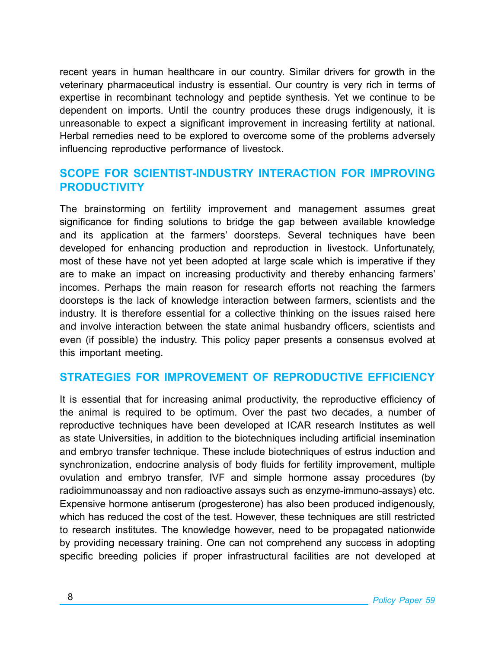recent years in human healthcare in our country. Similar drivers for growth in the veterinary pharmaceutical industry is essential. Our country is very rich in terms of expertise in recombinant technology and peptide synthesis. Yet we continue to be dependent on imports. Until the country produces these drugs indigenously, it is unreasonable to expect a significant improvement in increasing fertility at national. Herbal remedies need to be explored to overcome some of the problems adversely influencing reproductive performance of livestock.

#### **Scope for scientist-industry interaction for improving productivity**

The brainstorming on fertility improvement and management assumes great significance for finding solutions to bridge the gap between available knowledge and its application at the farmers' doorsteps. Several techniques have been developed for enhancing production and reproduction in livestock. Unfortunately, most of these have not yet been adopted at large scale which is imperative if they are to make an impact on increasing productivity and thereby enhancing farmers' incomes. Perhaps the main reason for research efforts not reaching the farmers doorsteps is the lack of knowledge interaction between farmers, scientists and the industry. It is therefore essential for a collective thinking on the issues raised here and involve interaction between the state animal husbandry officers, scientists and even (if possible) the industry. This policy paper presents a consensus evolved at this important meeting.

#### **STRATEGIES FOR IMPROVEMENT OF REPRODUCTIVE EFFICIENCY**

It is essential that for increasing animal productivity, the reproductive efficiency of the animal is required to be optimum. Over the past two decades, a number of reproductive techniques have been developed at ICAR research Institutes as well as state Universities, in addition to the biotechniques including artificial insemination and embryo transfer technique. These include biotechniques of estrus induction and synchronization, endocrine analysis of body fluids for fertility improvement, multiple ovulation and embryo transfer, IVF and simple hormone assay procedures (by radioimmunoassay and non radioactive assays such as enzyme-immuno-assays) etc. Expensive hormone antiserum (progesterone) has also been produced indigenously, which has reduced the cost of the test. However, these techniques are still restricted to research institutes. The knowledge however, need to be propagated nationwide by providing necessary training. One can not comprehend any success in adopting specific breeding policies if proper infrastructural facilities are not developed at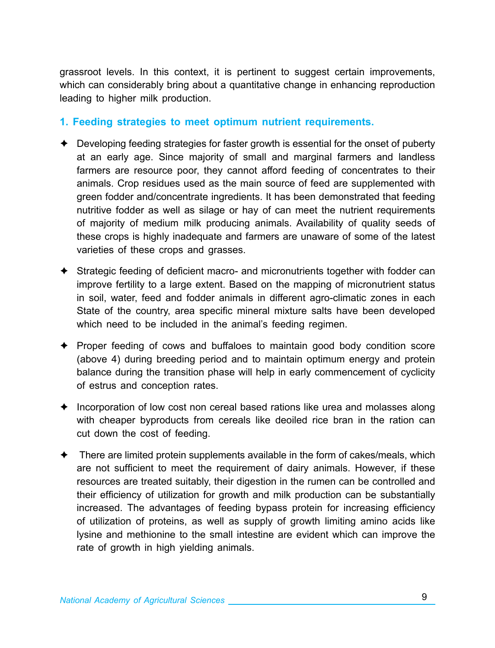grassroot levels. In this context, it is pertinent to suggest certain improvements, which can considerably bring about a quantitative change in enhancing reproduction leading to higher milk production.

#### **1. Feeding strategies to meet optimum nutrient requirements.**

- $\triangle$  Developing feeding strategies for faster growth is essential for the onset of puberty at an early age. Since majority of small and marginal farmers and landless farmers are resource poor, they cannot afford feeding of concentrates to their animals. Crop residues used as the main source of feed are supplemented with green fodder and/concentrate ingredients. It has been demonstrated that feeding nutritive fodder as well as silage or hay of can meet the nutrient requirements of majority of medium milk producing animals. Availability of quality seeds of these crops is highly inadequate and farmers are unaware of some of the latest varieties of these crops and grasses.
- Ê Strategic feeding of deficient macro- and micronutrients together with fodder can improve fertility to a large extent. Based on the mapping of micronutrient status in soil, water, feed and fodder animals in different agro-climatic zones in each State of the country, area specific mineral mixture salts have been developed which need to be included in the animal's feeding regimen.
- $\triangle$  Proper feeding of cows and buffaloes to maintain good body condition score (above 4) during breeding period and to maintain optimum energy and protein balance during the transition phase will help in early commencement of cyclicity of estrus and conception rates.
- $\triangle$  Incorporation of low cost non cereal based rations like urea and molasses along with cheaper byproducts from cereals like deoiled rice bran in the ration can cut down the cost of feeding.
- $\triangle$  There are limited protein supplements available in the form of cakes/meals, which are not sufficient to meet the requirement of dairy animals. However, if these resources are treated suitably, their digestion in the rumen can be controlled and their efficiency of utilization for growth and milk production can be substantially increased. The advantages of feeding bypass protein for increasing efficiency of utilization of proteins, as well as supply of growth limiting amino acids like lysine and methionine to the small intestine are evident which can improve the rate of growth in high yielding animals.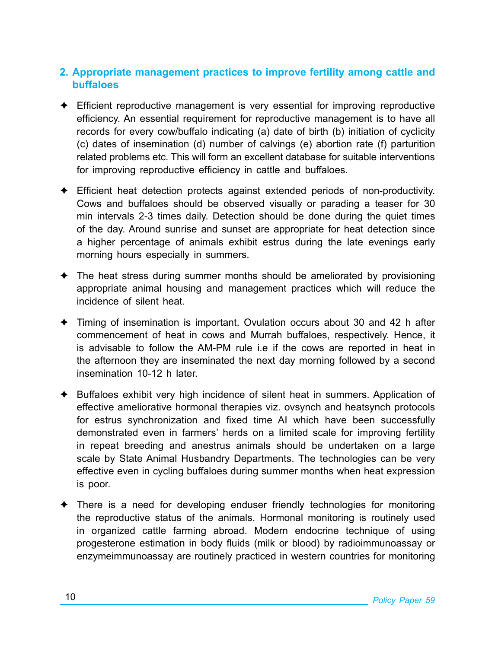#### **2. Appropriate management practices to improve fertility among cattle and buffaloes**

- $\triangle$  Efficient reproductive management is very essential for improving reproductive efficiency. An essential requirement for reproductive management is to have all records for every cow/buffalo indicating (a) date of birth (b) initiation of cyclicity (c) dates of insemination (d) number of calvings (e) abortion rate (f) parturition related problems etc. This will form an excellent database for suitable interventions for improving reproductive efficiency in cattle and buffaloes.
- $\triangle$  Efficient heat detection protects against extended periods of non-productivity. Cows and buffaloes should be observed visually or parading a teaser for 30 min intervals 2-3 times daily. Detection should be done during the quiet times of the day. Around sunrise and sunset are appropriate for heat detection since a higher percentage of animals exhibit estrus during the late evenings early morning hours especially in summers.
- $\triangle$  The heat stress during summer months should be ameliorated by provisioning appropriate animal housing and management practices which will reduce the incidence of silent heat.
- $\rightarrow$  Timing of insemination is important. Ovulation occurs about 30 and 42 h after commencement of heat in cows and Murrah buffaloes, respectively. Hence, it is advisable to follow the AM-PM rule i.e if the cows are reported in heat in the afternoon they are inseminated the next day morning followed by a second insemination 10-12 h later.
- $\triangle$  Buffaloes exhibit very high incidence of silent heat in summers. Application of effective ameliorative hormonal therapies viz. ovsynch and heatsynch protocols for estrus synchronization and fixed time AI which have been successfully demonstrated even in farmers' herds on a limited scale for improving fertility in repeat breeding and anestrus animals should be undertaken on a large scale by State Animal Husbandry Departments. The technologies can be very effective even in cycling buffaloes during summer months when heat expression is poor.
- $\triangle$  There is a need for developing enduser friendly technologies for monitoring the reproductive status of the animals. Hormonal monitoring is routinely used in organized cattle farming abroad. Modern endocrine technique of using progesterone estimation in body fluids (milk or blood) by radioimmunoassay or enzymeimmunoassay are routinely practiced in western countries for monitoring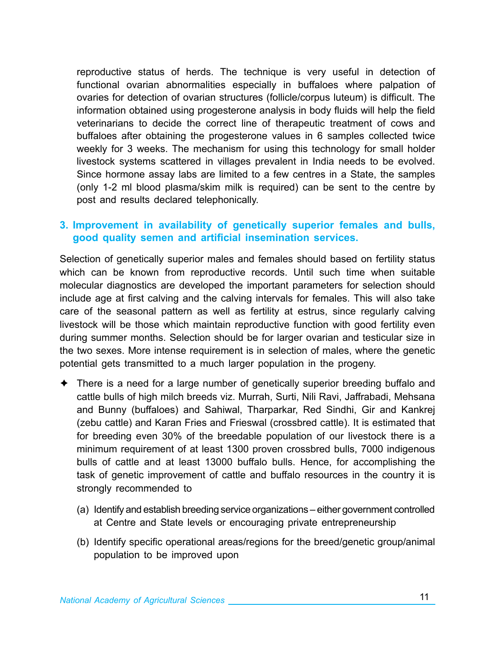reproductive status of herds. The technique is very useful in detection of functional ovarian abnormalities especially in buffaloes where palpation of ovaries for detection of ovarian structures (follicle/corpus luteum) is difficult. The information obtained using progesterone analysis in body fluids will help the field veterinarians to decide the correct line of therapeutic treatment of cows and buffaloes after obtaining the progesterone values in 6 samples collected twice weekly for 3 weeks. The mechanism for using this technology for small holder livestock systems scattered in villages prevalent in India needs to be evolved. Since hormone assay labs are limited to a few centres in a State, the samples (only 1-2 ml blood plasma/skim milk is required) can be sent to the centre by post and results declared telephonically.

#### **3. Improvement in availability of genetically superior females and bulls, good quality semen and artificial insemination services.**

Selection of genetically superior males and females should based on fertility status which can be known from reproductive records. Until such time when suitable molecular diagnostics are developed the important parameters for selection should include age at first calving and the calving intervals for females. This will also take care of the seasonal pattern as well as fertility at estrus, since regularly calving livestock will be those which maintain reproductive function with good fertility even during summer months. Selection should be for larger ovarian and testicular size in the two sexes. More intense requirement is in selection of males, where the genetic potential gets transmitted to a much larger population in the progeny.

- $\triangle$  There is a need for a large number of genetically superior breeding buffalo and cattle bulls of high milch breeds viz. Murrah, Surti, Nili Ravi, Jaffrabadi, Mehsana and Bunny (buffaloes) and Sahiwal, Tharparkar, Red Sindhi, Gir and Kankrej (zebu cattle) and Karan Fries and Frieswal (crossbred cattle). It is estimated that for breeding even 30% of the breedable population of our livestock there is a minimum requirement of at least 1300 proven crossbred bulls, 7000 indigenous bulls of cattle and at least 13000 buffalo bulls. Hence, for accomplishing the task of genetic improvement of cattle and buffalo resources in the country it is strongly recommended to
	- (a) Identify and establish breeding service organizations either government controlled at Centre and State levels or encouraging private entrepreneurship
	- (b) Identify specific operational areas/regions for the breed/genetic group/animal population to be improved upon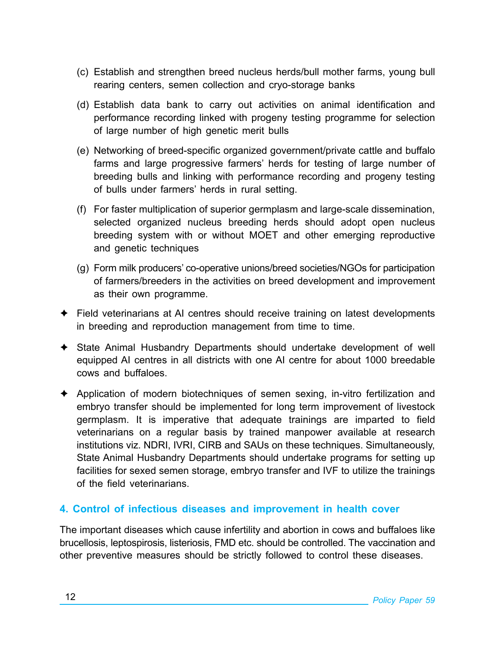- (c) Establish and strengthen breed nucleus herds/bull mother farms, young bull rearing centers, semen collection and cryo-storage banks
- (d) Establish data bank to carry out activities on animal identification and performance recording linked with progeny testing programme for selection of large number of high genetic merit bulls
- (e) Networking of breed-specific organized government/private cattle and buffalo farms and large progressive farmers' herds for testing of large number of breeding bulls and linking with performance recording and progeny testing of bulls under farmers' herds in rural setting.
- (f) For faster multiplication of superior germplasm and large-scale dissemination, selected organized nucleus breeding herds should adopt open nucleus breeding system with or without MOET and other emerging reproductive and genetic techniques
- (g) Form milk producers' co-operative unions/breed societies/NGOs for participation of farmers/breeders in the activities on breed development and improvement as their own programme.
- $\triangle$  Field veterinarians at AI centres should receive training on latest developments in breeding and reproduction management from time to time.
- $\triangle$  State Animal Husbandry Departments should undertake development of well equipped AI centres in all districts with one AI centre for about 1000 breedable cows and buffaloes.
- $\triangle$  Application of modern biotechniques of semen sexing, in-vitro fertilization and embryo transfer should be implemented for long term improvement of livestock germplasm. It is imperative that adequate trainings are imparted to field veterinarians on a regular basis by trained manpower available at research institutions viz. NDRI, IVRI, CIRB and SAUs on these techniques. Simultaneously, State Animal Husbandry Departments should undertake programs for setting up facilities for sexed semen storage, embryo transfer and IVF to utilize the trainings of the field veterinarians.

#### **4. Control of infectious diseases and improvement in health cover**

The important diseases which cause infertility and abortion in cows and buffaloes like brucellosis, leptospirosis, listeriosis, FMD etc. should be controlled. The vaccination and other preventive measures should be strictly followed to control these diseases.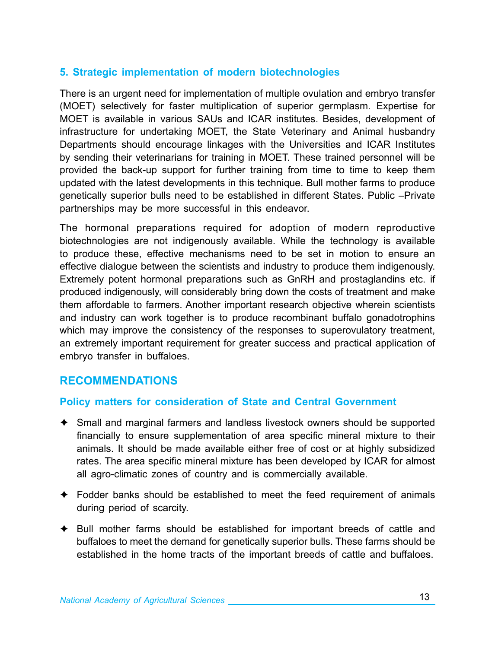#### **5. Strategic implementation of modern biotechnologies**

There is an urgent need for implementation of multiple ovulation and embryo transfer (MOET) selectively for faster multiplication of superior germplasm. Expertise for MOET is available in various SAUs and ICAR institutes. Besides, development of infrastructure for undertaking MOET, the State Veterinary and Animal husbandry Departments should encourage linkages with the Universities and ICAR Institutes by sending their veterinarians for training in MOET. These trained personnel will be provided the back-up support for further training from time to time to keep them updated with the latest developments in this technique. Bull mother farms to produce genetically superior bulls need to be established in different States. Public –Private partnerships may be more successful in this endeavor.

The hormonal preparations required for adoption of modern reproductive biotechnologies are not indigenously available. While the technology is available to produce these, effective mechanisms need to be set in motion to ensure an effective dialogue between the scientists and industry to produce them indigenously. Extremely potent hormonal preparations such as GnRH and prostaglandins etc. if produced indigenously, will considerably bring down the costs of treatment and make them affordable to farmers. Another important research objective wherein scientists and industry can work together is to produce recombinant buffalo gonadotrophins which may improve the consistency of the responses to superovulatory treatment, an extremely important requirement for greater success and practical application of embryo transfer in buffaloes.

#### **Recommendations**

#### **Policy matters for consideration of State and Central Government**

- $\triangle$  Small and marginal farmers and landless livestock owners should be supported financially to ensure supplementation of area specific mineral mixture to their animals. It should be made available either free of cost or at highly subsidized rates. The area specific mineral mixture has been developed by ICAR for almost all agro-climatic zones of country and is commercially available.
- $\triangle$  Fodder banks should be established to meet the feed requirement of animals during period of scarcity.
- $\triangle$  Bull mother farms should be established for important breeds of cattle and buffaloes to meet the demand for genetically superior bulls. These farms should be established in the home tracts of the important breeds of cattle and buffaloes.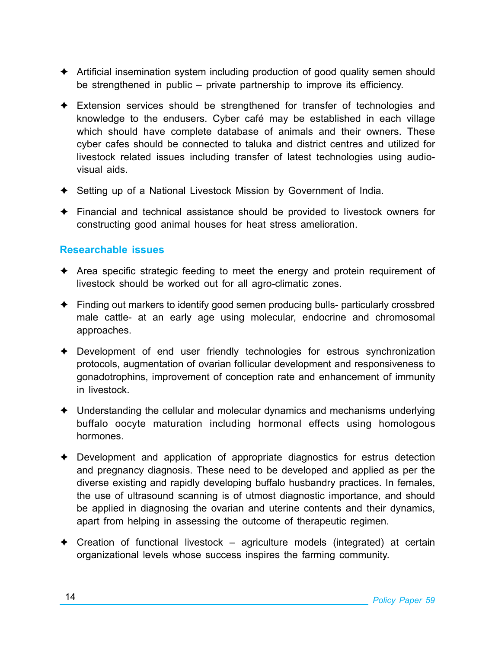- $\triangle$  Artificial insemination system including production of good quality semen should be strengthened in public – private partnership to improve its efficiency.
- $\triangle$  Extension services should be strengthened for transfer of technologies and knowledge to the endusers. Cyber café may be established in each village which should have complete database of animals and their owners. These cyber cafes should be connected to taluka and district centres and utilized for livestock related issues including transfer of latest technologies using audiovisual aids.
- ◆ Setting up of a National Livestock Mission by Government of India.
- $\triangle$  Financial and technical assistance should be provided to livestock owners for constructing good animal houses for heat stress amelioration.

#### **Researchable issues**

- $\triangle$  Area specific strategic feeding to meet the energy and protein requirement of livestock should be worked out for all agro-climatic zones.
- $\triangle$  Finding out markers to identify good semen producing bulls- particularly crossbred male cattle- at an early age using molecular, endocrine and chromosomal approaches.
- $\triangle$  Development of end user friendly technologies for estrous synchronization protocols, augmentation of ovarian follicular development and responsiveness to gonadotrophins, improvement of conception rate and enhancement of immunity in livestock.
- $\triangle$  Understanding the cellular and molecular dynamics and mechanisms underlying buffalo oocyte maturation including hormonal effects using homologous hormones.
- $\triangle$  Development and application of appropriate diagnostics for estrus detection and pregnancy diagnosis. These need to be developed and applied as per the diverse existing and rapidly developing buffalo husbandry practices. In females, the use of ultrasound scanning is of utmost diagnostic importance, and should be applied in diagnosing the ovarian and uterine contents and their dynamics, apart from helping in assessing the outcome of therapeutic regimen.
- $\triangle$  Creation of functional livestock agriculture models (integrated) at certain organizational levels whose success inspires the farming community.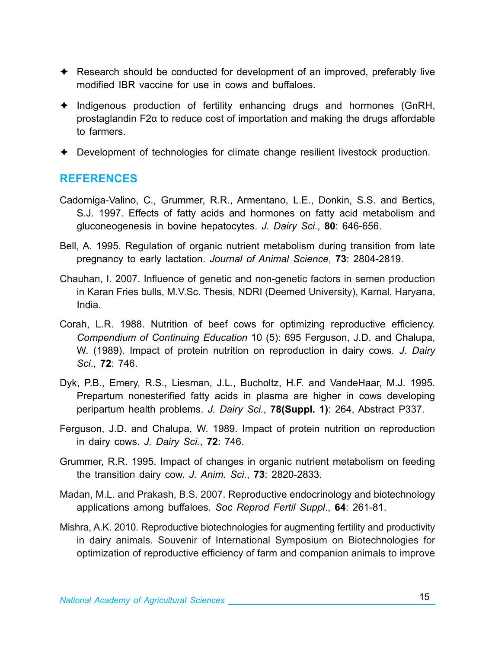- $\triangle$  Research should be conducted for development of an improved, preferably live modified IBR vaccine for use in cows and buffaloes.
- $\triangleq$  Indigenous production of fertility enhancing drugs and hormones (GnRH, prostaglandin F2α to reduce cost of importation and making the drugs affordable to farmers.
- $\triangle$  Development of technologies for climate change resilient livestock production.

#### **References**

- Cadorniga-Valino, C., Grummer, R.R., Armentano, L.E., Donkin, S.S. and Bertics, S.J. 1997. Effects of fatty acids and hormones on fatty acid metabolism and gluconeogenesis in bovine hepatocytes. *J. Dairy Sci.*, **80**: 646-656.
- Bell, A. 1995. Regulation of organic nutrient metabolism during transition from late pregnancy to early lactation. *Journal of Animal Science*, **73**: 2804-2819.
- Chauhan, I. 2007. Influence of genetic and non-genetic factors in semen production in Karan Fries bulls, M.V.Sc. Thesis, NDRI (Deemed University), Karnal, Haryana, India.
- Corah, L.R. 1988. Nutrition of beef cows for optimizing reproductive efficiency. *Compendium of Continuing Education* 10 (5): 695 Ferguson, J.D. and Chalupa, W. (1989). Impact of protein nutrition on reproduction in dairy cows. *J. Dairy Sci*., **72**: 746.
- Dyk, P.B., Emery, R.S., Liesman, J.L., Bucholtz, H.F. and VandeHaar, M.J. 1995. Prepartum nonesterified fatty acids in plasma are higher in cows developing peripartum health problems. *J. Dairy Sci.*, **78(Suppl. 1)**: 264, Abstract P337.
- Ferguson, J.D. and Chalupa, W. 1989. Impact of protein nutrition on reproduction in dairy cows. *J. Dairy Sci.*, **72**: 746.
- Grummer, R.R. 1995. Impact of changes in organic nutrient metabolism on feeding the transition dairy cow. *J. Anim. Sci*., **73**: 2820-2833.
- Madan, M.L. and Prakash, B.S. 2007. Reproductive endocrinology and biotechnology applications among buffaloes. *Soc Reprod Fertil Suppl*., **64**: 261-81.
- Mishra, A.K. 2010. Reproductive biotechnologies for augmenting fertility and productivity in dairy animals. Souvenir of International Symposium on Biotechnologies for optimization of reproductive efficiency of farm and companion animals to improve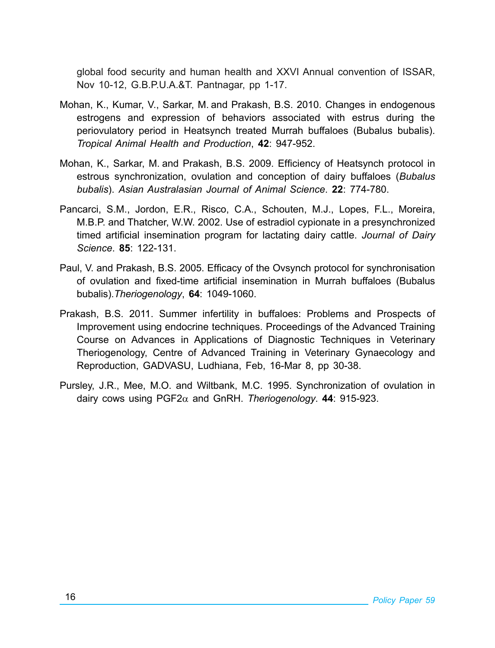global food security and human health and XXVI Annual convention of ISSAR, Nov 10-12, G.B.P.U.A.&T. Pantnagar, pp 1-17.

- Mohan, K., Kumar, V., Sarkar, M. and Prakash, B.S. 2010. Changes in endogenous estrogens and expression of behaviors associated with estrus during the periovulatory period in Heatsynch treated Murrah buffaloes (Bubalus bubalis). *Tropical Animal Health and Production*, **42**: 947-952.
- Mohan, K., Sarkar, M. and Prakash, B.S. 2009. Efficiency of Heatsynch protocol in estrous synchronization, ovulation and conception of dairy buffaloes (*Bubalus bubalis*). *Asian Australasian Journal of Animal Science*. **22**: 774-780.
- Pancarci, S.M., Jordon, E.R., Risco, C.A., Schouten, M.J., Lopes, F.L., Moreira, M.B.P. and Thatcher, W.W. 2002. Use of estradiol cypionate in a presynchronized timed artificial insemination program for lactating dairy cattle. *Journal of Dairy Science*. **85**: 122-131.
- Paul, V. and Prakash, B.S. 2005. Efficacy of the Ovsynch protocol for synchronisation of ovulation and fixed-time artificial insemination in Murrah buffaloes (Bubalus bubalis).*Theriogenology*, **64**: 1049-1060.
- Prakash, B.S. 2011. Summer infertility in buffaloes: Problems and Prospects of Improvement using endocrine techniques. Proceedings of the Advanced Training Course on Advances in Applications of Diagnostic Techniques in Veterinary Theriogenology, Centre of Advanced Training in Veterinary Gynaecology and Reproduction, GADVASU, Ludhiana, Feb, 16-Mar 8, pp 30-38.
- Pursley, J.R., Mee, M.O. and Wiltbank, M.C. 1995. Synchronization of ovulation in dairy cows using PGF2α and GnRH. *Theriogenology*. **44**: 915-923.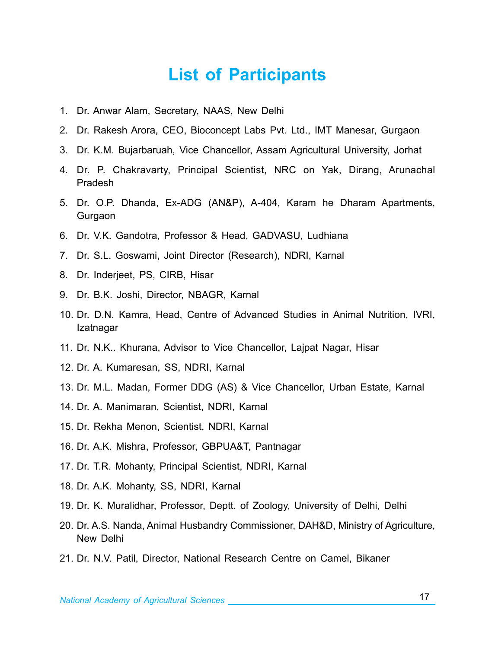### **List of Participants**

- 1. Dr. Anwar Alam, Secretary, NAAS, New Delhi
- 2. Dr. Rakesh Arora, CEO, Bioconcept Labs Pvt. Ltd., IMT Manesar, Gurgaon
- 3. Dr. K.M. Bujarbaruah, Vice Chancellor, Assam Agricultural University, Jorhat
- 4. Dr. P. Chakravarty, Principal Scientist, NRC on Yak, Dirang, Arunachal Pradesh
- 5. Dr. O.P. Dhanda, Ex-ADG (AN&P), A-404, Karam he Dharam Apartments, Gurgaon
- 6. Dr. V.K. Gandotra, Professor & Head, GADVASU, Ludhiana
- 7. Dr. S.L. Goswami, Joint Director (Research), NDRI, Karnal
- 8. Dr. Inderjeet, PS, CIRB, Hisar
- 9. Dr. B.K. Joshi, Director, NBAGR, Karnal
- 10. Dr. D.N. Kamra, Head, Centre of Advanced Studies in Animal Nutrition, IVRI, Izatnagar
- 11. Dr. N.K.. Khurana, Advisor to Vice Chancellor, Lajpat Nagar, Hisar
- 12. Dr. A. Kumaresan, SS, NDRI, Karnal
- 13. Dr. M.L. Madan, Former DDG (AS) & Vice Chancellor, Urban Estate, Karnal
- 14. Dr. A. Manimaran, Scientist, NDRI, Karnal
- 15. Dr. Rekha Menon, Scientist, NDRI, Karnal
- 16. Dr. A.K. Mishra, Professor, GBPUA&T, Pantnagar
- 17. Dr. T.R. Mohanty, Principal Scientist, NDRI, Karnal
- 18. Dr. A.K. Mohanty, SS, NDRI, Karnal
- 19. Dr. K. Muralidhar, Professor, Deptt. of Zoology, University of Delhi, Delhi
- 20. Dr. A.S. Nanda, Animal Husbandry Commissioner, DAH&D, Ministry of Agriculture, New Delhi
- 21. Dr. N.V. Patil, Director, National Research Centre on Camel, Bikaner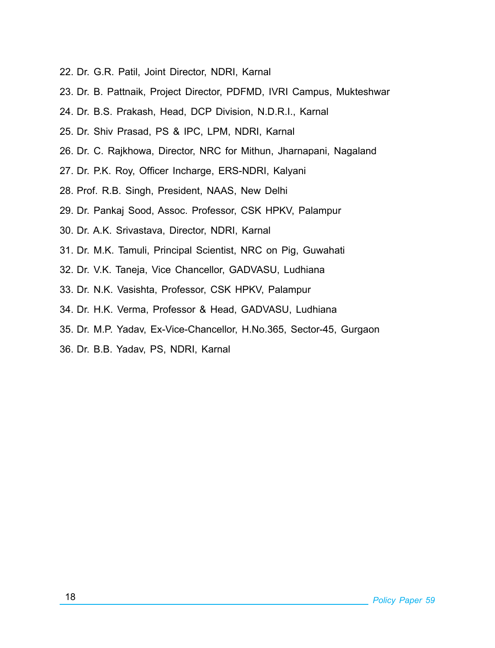- 22. Dr. G.R. Patil, Joint Director, NDRI, Karnal
- 23. Dr. B. Pattnaik, Project Director, PDFMD, IVRI Campus, Mukteshwar
- 24. Dr. B.S. Prakash, Head, DCP Division, N.D.R.I., Karnal
- 25. Dr. Shiv Prasad, PS & IPC, LPM, NDRI, Karnal
- 26. Dr. C. Rajkhowa, Director, NRC for Mithun, Jharnapani, Nagaland
- 27. Dr. P.K. Roy, Officer Incharge, ERS-NDRI, Kalyani
- 28. Prof. R.B. Singh, President, NAAS, New Delhi
- 29. Dr. Pankaj Sood, Assoc. Professor, CSK HPKV, Palampur
- 30. Dr. A.K. Srivastava, Director, NDRI, Karnal
- 31. Dr. M.K. Tamuli, Principal Scientist, NRC on Pig, Guwahati
- 32. Dr. V.K. Taneja, Vice Chancellor, GADVASU, Ludhiana
- 33. Dr. N.K. Vasishta, Professor, CSK HPKV, Palampur
- 34. Dr. H.K. Verma, Professor & Head, GADVASU, Ludhiana
- 35. Dr. M.P. Yadav, Ex-Vice-Chancellor, H.No.365, Sector-45, Gurgaon
- 36. Dr. B.B. Yadav, PS, NDRI, Karnal